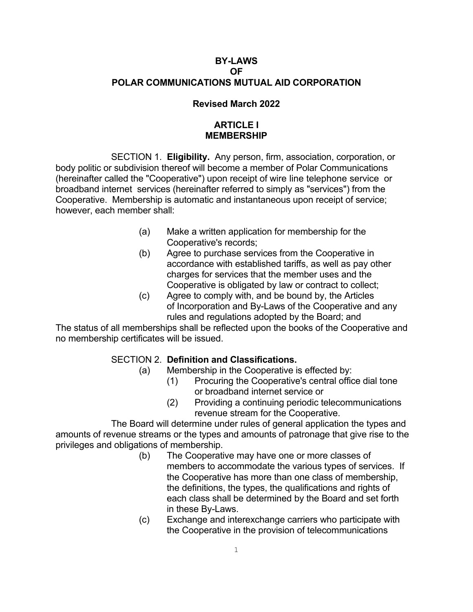## **BY-LAWS OF POLAR COMMUNICATIONS MUTUAL AID CORPORATION**

### **Revised March 2022**

# **ARTICLE I MEMBERSHIP**

SECTION 1. **Eligibility.** Any person, firm, association, corporation, or body politic or subdivision thereof will become a member of Polar Communications (hereinafter called the "Cooperative") upon receipt of wire line telephone service or broadband internet services (hereinafter referred to simply as "services") from the Cooperative. Membership is automatic and instantaneous upon receipt of service; however, each member shall:

- (a) Make a written application for membership for the Cooperative's records;
- (b) Agree to purchase services from the Cooperative in accordance with established tariffs, as well as pay other charges for services that the member uses and the Cooperative is obligated by law or contract to collect;
- (c) Agree to comply with, and be bound by, the Articles of Incorporation and By-Laws of the Cooperative and any rules and regulations adopted by the Board; and

The status of all memberships shall be reflected upon the books of the Cooperative and no membership certificates will be issued.

## SECTION 2. **Definition and Classifications.**

- (a) Membership in the Cooperative is effected by:
	- (1) Procuring the Cooperative's central office dial tone or broadband internet service or
	- (2) Providing a continuing periodic telecommunications revenue stream for the Cooperative.

The Board will determine under rules of general application the types and amounts of revenue streams or the types and amounts of patronage that give rise to the privileges and obligations of membership.

- (b) The Cooperative may have one or more classes of members to accommodate the various types of services. If the Cooperative has more than one class of membership, the definitions, the types, the qualifications and rights of each class shall be determined by the Board and set forth in these By-Laws.
- (c) Exchange and interexchange carriers who participate with the Cooperative in the provision of telecommunications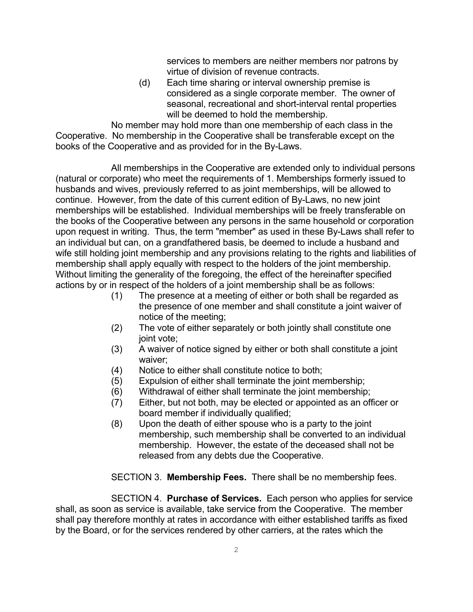services to members are neither members nor patrons by virtue of division of revenue contracts.

(d) Each time sharing or interval ownership premise is considered as a single corporate member. The owner of seasonal, recreational and short-interval rental properties will be deemed to hold the membership.

No member may hold more than one membership of each class in the Cooperative. No membership in the Cooperative shall be transferable except on the books of the Cooperative and as provided for in the By-Laws.

All memberships in the Cooperative are extended only to individual persons (natural or corporate) who meet the requirements of 1. Memberships formerly issued to husbands and wives, previously referred to as joint memberships, will be allowed to continue. However, from the date of this current edition of By-Laws, no new joint memberships will be established. Individual memberships will be freely transferable on the books of the Cooperative between any persons in the same household or corporation upon request in writing. Thus, the term "member" as used in these By-Laws shall refer to an individual but can, on a grandfathered basis, be deemed to include a husband and wife still holding joint membership and any provisions relating to the rights and liabilities of membership shall apply equally with respect to the holders of the joint membership. Without limiting the generality of the foregoing, the effect of the hereinafter specified actions by or in respect of the holders of a joint membership shall be as follows:

- (1) The presence at a meeting of either or both shall be regarded as the presence of one member and shall constitute a joint waiver of notice of the meeting;
- (2) The vote of either separately or both jointly shall constitute one joint vote;
- (3) A waiver of notice signed by either or both shall constitute a joint waiver;
- (4) Notice to either shall constitute notice to both;
- (5) Expulsion of either shall terminate the joint membership;
- (6) Withdrawal of either shall terminate the joint membership;
- (7) Either, but not both, may be elected or appointed as an officer or board member if individually qualified;
- (8) Upon the death of either spouse who is a party to the joint membership, such membership shall be converted to an individual membership. However, the estate of the deceased shall not be released from any debts due the Cooperative.

SECTION 3. **Membership Fees.** There shall be no membership fees.

SECTION 4. **Purchase of Services.** Each person who applies for service shall, as soon as service is available, take service from the Cooperative. The member shall pay therefore monthly at rates in accordance with either established tariffs as fixed by the Board, or for the services rendered by other carriers, at the rates which the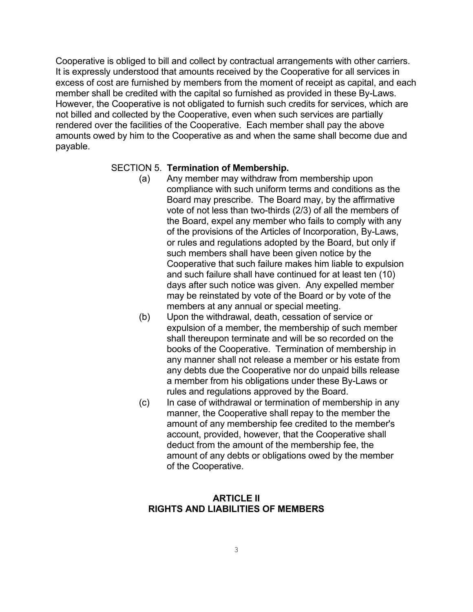Cooperative is obliged to bill and collect by contractual arrangements with other carriers. It is expressly understood that amounts received by the Cooperative for all services in excess of cost are furnished by members from the moment of receipt as capital, and each member shall be credited with the capital so furnished as provided in these By-Laws. However, the Cooperative is not obligated to furnish such credits for services, which are not billed and collected by the Cooperative, even when such services are partially rendered over the facilities of the Cooperative. Each member shall pay the above amounts owed by him to the Cooperative as and when the same shall become due and payable.

#### SECTION 5. **Termination of Membership.**

- (a) Any member may withdraw from membership upon compliance with such uniform terms and conditions as the Board may prescribe. The Board may, by the affirmative vote of not less than two-thirds (2/3) of all the members of the Board, expel any member who fails to comply with any of the provisions of the Articles of Incorporation, By-Laws, or rules and regulations adopted by the Board, but only if such members shall have been given notice by the Cooperative that such failure makes him liable to expulsion and such failure shall have continued for at least ten (10) days after such notice was given. Any expelled member may be reinstated by vote of the Board or by vote of the members at any annual or special meeting.
- (b) Upon the withdrawal, death, cessation of service or expulsion of a member, the membership of such member shall thereupon terminate and will be so recorded on the books of the Cooperative. Termination of membership in any manner shall not release a member or his estate from any debts due the Cooperative nor do unpaid bills release a member from his obligations under these By-Laws or rules and regulations approved by the Board.
- (c) In case of withdrawal or termination of membership in any manner, the Cooperative shall repay to the member the amount of any membership fee credited to the member's account, provided, however, that the Cooperative shall deduct from the amount of the membership fee, the amount of any debts or obligations owed by the member of the Cooperative.

## **ARTICLE II RIGHTS AND LIABILITIES OF MEMBERS**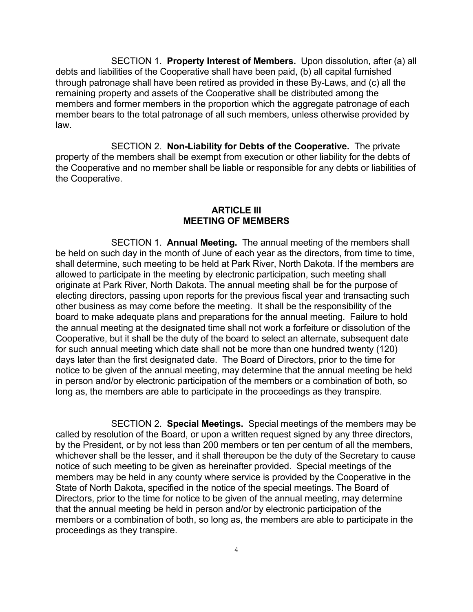SECTION 1. **Property Interest of Members.** Upon dissolution, after (a) all debts and liabilities of the Cooperative shall have been paid, (b) all capital furnished through patronage shall have been retired as provided in these By-Laws, and (c) all the remaining property and assets of the Cooperative shall be distributed among the members and former members in the proportion which the aggregate patronage of each member bears to the total patronage of all such members, unless otherwise provided by law.

SECTION 2. **Non-Liability for Debts of the Cooperative.** The private property of the members shall be exempt from execution or other liability for the debts of the Cooperative and no member shall be liable or responsible for any debts or liabilities of the Cooperative.

#### **ARTICLE III MEETING OF MEMBERS**

SECTION 1. **Annual Meeting.** The annual meeting of the members shall be held on such day in the month of June of each year as the directors, from time to time, shall determine, such meeting to be held at Park River, North Dakota. If the members are allowed to participate in the meeting by electronic participation, such meeting shall originate at Park River, North Dakota. The annual meeting shall be for the purpose of electing directors, passing upon reports for the previous fiscal year and transacting such other business as may come before the meeting. It shall be the responsibility of the board to make adequate plans and preparations for the annual meeting. Failure to hold the annual meeting at the designated time shall not work a forfeiture or dissolution of the Cooperative, but it shall be the duty of the board to select an alternate, subsequent date for such annual meeting which date shall not be more than one hundred twenty (120) days later than the first designated date. The Board of Directors, prior to the time for notice to be given of the annual meeting, may determine that the annual meeting be held in person and/or by electronic participation of the members or a combination of both, so long as, the members are able to participate in the proceedings as they transpire.

SECTION 2. **Special Meetings.** Special meetings of the members may be called by resolution of the Board, or upon a written request signed by any three directors, by the President, or by not less than 200 members or ten per centum of all the members, whichever shall be the lesser, and it shall thereupon be the duty of the Secretary to cause notice of such meeting to be given as hereinafter provided. Special meetings of the members may be held in any county where service is provided by the Cooperative in the State of North Dakota, specified in the notice of the special meetings. The Board of Directors, prior to the time for notice to be given of the annual meeting, may determine that the annual meeting be held in person and/or by electronic participation of the members or a combination of both, so long as, the members are able to participate in the proceedings as they transpire.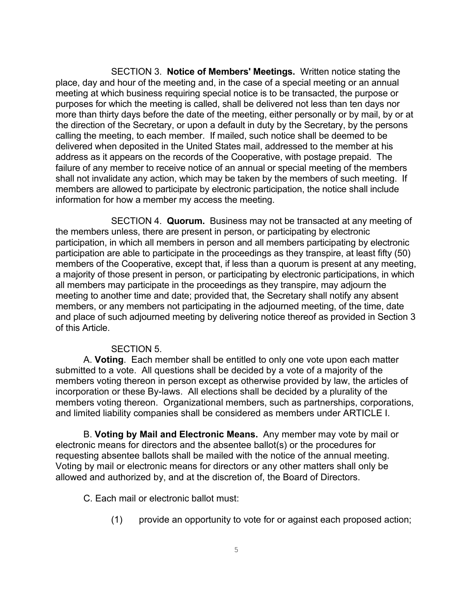SECTION 3. **Notice of Members' Meetings.** Written notice stating the place, day and hour of the meeting and, in the case of a special meeting or an annual meeting at which business requiring special notice is to be transacted, the purpose or purposes for which the meeting is called, shall be delivered not less than ten days nor more than thirty days before the date of the meeting, either personally or by mail, by or at the direction of the Secretary, or upon a default in duty by the Secretary, by the persons calling the meeting, to each member. If mailed, such notice shall be deemed to be delivered when deposited in the United States mail, addressed to the member at his address as it appears on the records of the Cooperative, with postage prepaid. The failure of any member to receive notice of an annual or special meeting of the members shall not invalidate any action, which may be taken by the members of such meeting. If members are allowed to participate by electronic participation, the notice shall include information for how a member my access the meeting.

SECTION 4. **Quorum.** Business may not be transacted at any meeting of the members unless, there are present in person, or participating by electronic participation, in which all members in person and all members participating by electronic participation are able to participate in the proceedings as they transpire, at least fifty (50) members of the Cooperative, except that, if less than a quorum is present at any meeting, a majority of those present in person, or participating by electronic participations, in which all members may participate in the proceedings as they transpire, may adjourn the meeting to another time and date; provided that, the Secretary shall notify any absent members, or any members not participating in the adjourned meeting, of the time, date and place of such adjourned meeting by delivering notice thereof as provided in Section 3 of this Article.

#### SECTION 5.

A. **Voting**. Each member shall be entitled to only one vote upon each matter submitted to a vote. All questions shall be decided by a vote of a majority of the members voting thereon in person except as otherwise provided by law, the articles of incorporation or these By-laws. All elections shall be decided by a plurality of the members voting thereon. Organizational members, such as partnerships, corporations, and limited liability companies shall be considered as members under ARTICLE I.

B. **Voting by Mail and Electronic Means.** Any member may vote by mail or electronic means for directors and the absentee ballot(s) or the procedures for requesting absentee ballots shall be mailed with the notice of the annual meeting. Voting by mail or electronic means for directors or any other matters shall only be allowed and authorized by, and at the discretion of, the Board of Directors.

C. Each mail or electronic ballot must:

(1) provide an opportunity to vote for or against each proposed action;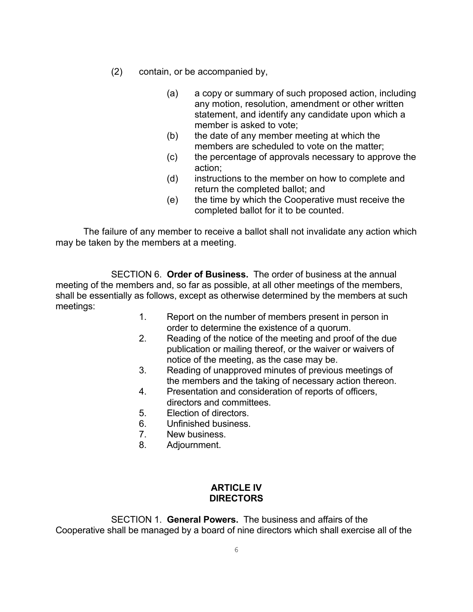- (2) contain, or be accompanied by,
	- (a) a copy or summary of such proposed action, including any motion, resolution, amendment or other written statement, and identify any candidate upon which a member is asked to vote;
	- (b) the date of any member meeting at which the members are scheduled to vote on the matter;
	- (c) the percentage of approvals necessary to approve the action;
	- (d) instructions to the member on how to complete and return the completed ballot; and
	- (e) the time by which the Cooperative must receive the completed ballot for it to be counted.

The failure of any member to receive a ballot shall not invalidate any action which may be taken by the members at a meeting.

SECTION 6. **Order of Business.** The order of business at the annual meeting of the members and, so far as possible, at all other meetings of the members, shall be essentially as follows, except as otherwise determined by the members at such meetings:

- 1. Report on the number of members present in person in order to determine the existence of a quorum.
- 2. Reading of the notice of the meeting and proof of the due publication or mailing thereof, or the waiver or waivers of notice of the meeting, as the case may be.
- 3. Reading of unapproved minutes of previous meetings of the members and the taking of necessary action thereon.
- 4. Presentation and consideration of reports of officers, directors and committees.
- 5. Election of directors.
- 6. Unfinished business.
- 7. New business.
- 8. Adjournment.

## **ARTICLE IV DIRECTORS**

SECTION 1. **General Powers.** The business and affairs of the Cooperative shall be managed by a board of nine directors which shall exercise all of the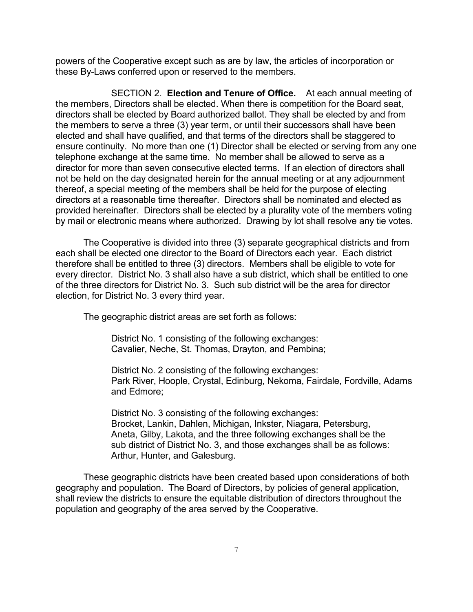powers of the Cooperative except such as are by law, the articles of incorporation or these By-Laws conferred upon or reserved to the members.

SECTION 2. **Election and Tenure of Office.** At each annual meeting of the members, Directors shall be elected. When there is competition for the Board seat, directors shall be elected by Board authorized ballot. They shall be elected by and from the members to serve a three (3) year term, or until their successors shall have been elected and shall have qualified, and that terms of the directors shall be staggered to ensure continuity. No more than one (1) Director shall be elected or serving from any one telephone exchange at the same time. No member shall be allowed to serve as a director for more than seven consecutive elected terms. If an election of directors shall not be held on the day designated herein for the annual meeting or at any adjournment thereof, a special meeting of the members shall be held for the purpose of electing directors at a reasonable time thereafter. Directors shall be nominated and elected as provided hereinafter. Directors shall be elected by a plurality vote of the members voting by mail or electronic means where authorized. Drawing by lot shall resolve any tie votes.

The Cooperative is divided into three (3) separate geographical districts and from each shall be elected one director to the Board of Directors each year. Each district therefore shall be entitled to three (3) directors. Members shall be eligible to vote for every director. District No. 3 shall also have a sub district, which shall be entitled to one of the three directors for District No. 3. Such sub district will be the area for director election, for District No. 3 every third year.

The geographic district areas are set forth as follows:

District No. 1 consisting of the following exchanges: Cavalier, Neche, St. Thomas, Drayton, and Pembina;

District No. 2 consisting of the following exchanges: Park River, Hoople, Crystal, Edinburg, Nekoma, Fairdale, Fordville, Adams and Edmore;

District No. 3 consisting of the following exchanges: Brocket, Lankin, Dahlen, Michigan, Inkster, Niagara, Petersburg, Aneta, Gilby, Lakota, and the three following exchanges shall be the sub district of District No. 3, and those exchanges shall be as follows: Arthur, Hunter, and Galesburg.

These geographic districts have been created based upon considerations of both geography and population. The Board of Directors, by policies of general application, shall review the districts to ensure the equitable distribution of directors throughout the population and geography of the area served by the Cooperative.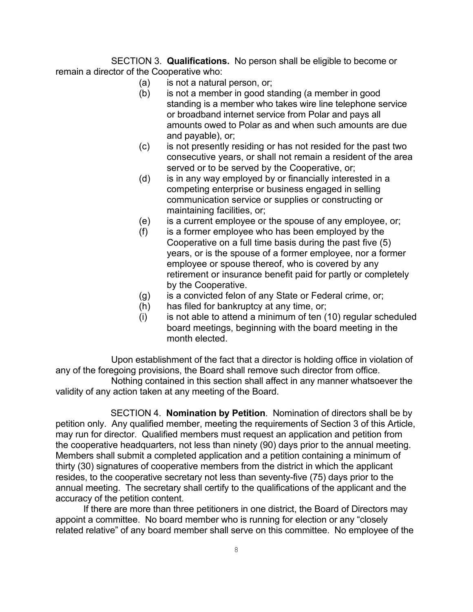SECTION 3. **Qualifications.** No person shall be eligible to become or remain a director of the Cooperative who:

- (a) is not a natural person, or;
- (b) is not a member in good standing (a member in good standing is a member who takes wire line telephone service or broadband internet service from Polar and pays all amounts owed to Polar as and when such amounts are due and payable), or;
- (c) is not presently residing or has not resided for the past two consecutive years, or shall not remain a resident of the area served or to be served by the Cooperative, or;
- (d) is in any way employed by or financially interested in a competing enterprise or business engaged in selling communication service or supplies or constructing or maintaining facilities, or;
- (e) is a current employee or the spouse of any employee, or;
- $(f)$  is a former employee who has been employed by the Cooperative on a full time basis during the past five (5) years, or is the spouse of a former employee, nor a former employee or spouse thereof, who is covered by any retirement or insurance benefit paid for partly or completely by the Cooperative.
- (g) is a convicted felon of any State or Federal crime, or;
- (h) has filed for bankruptcy at any time, or;
- $(i)$  is not able to attend a minimum of ten  $(10)$  regular scheduled board meetings, beginning with the board meeting in the month elected.

Upon establishment of the fact that a director is holding office in violation of any of the foregoing provisions, the Board shall remove such director from office.

Nothing contained in this section shall affect in any manner whatsoever the validity of any action taken at any meeting of the Board.

 SECTION 4. **Nomination by Petition**. Nomination of directors shall be by petition only. Any qualified member, meeting the requirements of Section 3 of this Article, may run for director. Qualified members must request an application and petition from the cooperative headquarters, not less than ninety (90) days prior to the annual meeting. Members shall submit a completed application and a petition containing a minimum of thirty (30) signatures of cooperative members from the district in which the applicant resides, to the cooperative secretary not less than seventy-five (75) days prior to the annual meeting. The secretary shall certify to the qualifications of the applicant and the accuracy of the petition content.

If there are more than three petitioners in one district, the Board of Directors may appoint a committee. No board member who is running for election or any "closely related relative" of any board member shall serve on this committee. No employee of the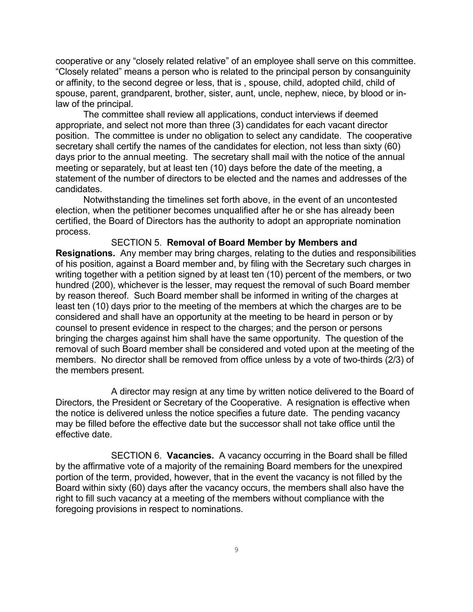cooperative or any "closely related relative" of an employee shall serve on this committee. "Closely related" means a person who is related to the principal person by consanguinity or affinity, to the second degree or less, that is , spouse, child, adopted child, child of spouse, parent, grandparent, brother, sister, aunt, uncle, nephew, niece, by blood or inlaw of the principal.

The committee shall review all applications, conduct interviews if deemed appropriate, and select not more than three (3) candidates for each vacant director position. The committee is under no obligation to select any candidate. The cooperative secretary shall certify the names of the candidates for election, not less than sixty (60) days prior to the annual meeting. The secretary shall mail with the notice of the annual meeting or separately, but at least ten (10) days before the date of the meeting, a statement of the number of directors to be elected and the names and addresses of the candidates.

Notwithstanding the timelines set forth above, in the event of an uncontested election, when the petitioner becomes unqualified after he or she has already been certified, the Board of Directors has the authority to adopt an appropriate nomination process.

SECTION 5. **Removal of Board Member by Members and Resignations.** Any member may bring charges, relating to the duties and responsibilities of his position, against a Board member and, by filing with the Secretary such charges in writing together with a petition signed by at least ten (10) percent of the members, or two hundred (200), whichever is the lesser, may request the removal of such Board member by reason thereof. Such Board member shall be informed in writing of the charges at least ten (10) days prior to the meeting of the members at which the charges are to be considered and shall have an opportunity at the meeting to be heard in person or by counsel to present evidence in respect to the charges; and the person or persons bringing the charges against him shall have the same opportunity. The question of the removal of such Board member shall be considered and voted upon at the meeting of the members. No director shall be removed from office unless by a vote of two-thirds (2/3) of the members present.

A director may resign at any time by written notice delivered to the Board of Directors, the President or Secretary of the Cooperative. A resignation is effective when the notice is delivered unless the notice specifies a future date. The pending vacancy may be filled before the effective date but the successor shall not take office until the effective date.

SECTION 6. **Vacancies.** A vacancy occurring in the Board shall be filled by the affirmative vote of a majority of the remaining Board members for the unexpired portion of the term, provided, however, that in the event the vacancy is not filled by the Board within sixty (60) days after the vacancy occurs, the members shall also have the right to fill such vacancy at a meeting of the members without compliance with the foregoing provisions in respect to nominations.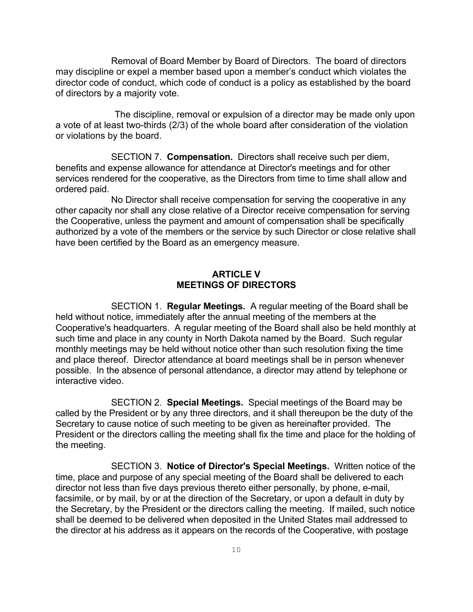Removal of Board Member by Board of Directors. The board of directors may discipline or expel a member based upon a member's conduct which violates the director code of conduct, which code of conduct is a policy as established by the board of directors by a majority vote.

The discipline, removal or expulsion of a director may be made only upon a vote of at least two-thirds (2/3) of the whole board after consideration of the violation or violations by the board.

SECTION 7. **Compensation.** Directors shall receive such per diem, benefits and expense allowance for attendance at Director's meetings and for other services rendered for the cooperative, as the Directors from time to time shall allow and ordered paid.

No Director shall receive compensation for serving the cooperative in any other capacity nor shall any close relative of a Director receive compensation for serving the Cooperative, unless the payment and amount of compensation shall be specifically authorized by a vote of the members or the service by such Director or close relative shall have been certified by the Board as an emergency measure.

### **ARTICLE V MEETINGS OF DIRECTORS**

SECTION 1. **Regular Meetings.** A regular meeting of the Board shall be held without notice, immediately after the annual meeting of the members at the Cooperative's headquarters. A regular meeting of the Board shall also be held monthly at such time and place in any county in North Dakota named by the Board. Such regular monthly meetings may be held without notice other than such resolution fixing the time and place thereof. Director attendance at board meetings shall be in person whenever possible. In the absence of personal attendance, a director may attend by telephone or interactive video.

SECTION 2. **Special Meetings.** Special meetings of the Board may be called by the President or by any three directors, and it shall thereupon be the duty of the Secretary to cause notice of such meeting to be given as hereinafter provided. The President or the directors calling the meeting shall fix the time and place for the holding of the meeting.

SECTION 3. **Notice of Director's Special Meetings.** Written notice of the time, place and purpose of any special meeting of the Board shall be delivered to each director not less than five days previous thereto either personally, by phone, e-mail, facsimile, or by mail, by or at the direction of the Secretary, or upon a default in duty by the Secretary, by the President or the directors calling the meeting. If mailed, such notice shall be deemed to be delivered when deposited in the United States mail addressed to the director at his address as it appears on the records of the Cooperative, with postage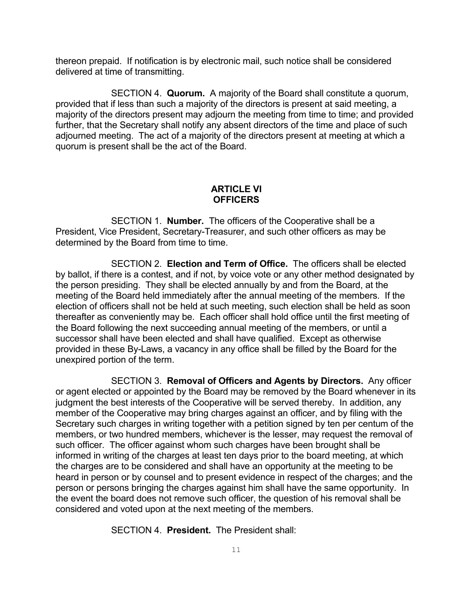thereon prepaid. If notification is by electronic mail, such notice shall be considered delivered at time of transmitting.

SECTION 4. **Quorum.** A majority of the Board shall constitute a quorum, provided that if less than such a majority of the directors is present at said meeting, a majority of the directors present may adjourn the meeting from time to time; and provided further, that the Secretary shall notify any absent directors of the time and place of such adjourned meeting. The act of a majority of the directors present at meeting at which a quorum is present shall be the act of the Board.

#### **ARTICLE VI OFFICERS**

SECTION 1. **Number.** The officers of the Cooperative shall be a President, Vice President, Secretary-Treasurer, and such other officers as may be determined by the Board from time to time.

SECTION 2. **Election and Term of Office.** The officers shall be elected by ballot, if there is a contest, and if not, by voice vote or any other method designated by the person presiding. They shall be elected annually by and from the Board, at the meeting of the Board held immediately after the annual meeting of the members. If the election of officers shall not be held at such meeting, such election shall be held as soon thereafter as conveniently may be. Each officer shall hold office until the first meeting of the Board following the next succeeding annual meeting of the members, or until a successor shall have been elected and shall have qualified. Except as otherwise provided in these By-Laws, a vacancy in any office shall be filled by the Board for the unexpired portion of the term.

SECTION 3. **Removal of Officers and Agents by Directors.** Any officer or agent elected or appointed by the Board may be removed by the Board whenever in its judgment the best interests of the Cooperative will be served thereby. In addition, any member of the Cooperative may bring charges against an officer, and by filing with the Secretary such charges in writing together with a petition signed by ten per centum of the members, or two hundred members, whichever is the lesser, may request the removal of such officer. The officer against whom such charges have been brought shall be informed in writing of the charges at least ten days prior to the board meeting, at which the charges are to be considered and shall have an opportunity at the meeting to be heard in person or by counsel and to present evidence in respect of the charges; and the person or persons bringing the charges against him shall have the same opportunity. In the event the board does not remove such officer, the question of his removal shall be considered and voted upon at the next meeting of the members.

SECTION 4. **President.** The President shall: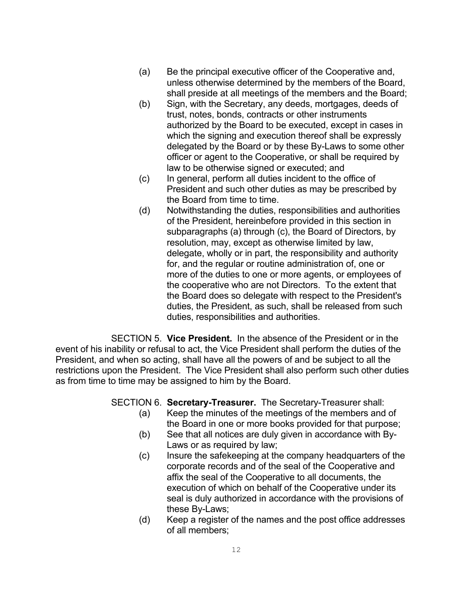- (a) Be the principal executive officer of the Cooperative and, unless otherwise determined by the members of the Board, shall preside at all meetings of the members and the Board;
- (b) Sign, with the Secretary, any deeds, mortgages, deeds of trust, notes, bonds, contracts or other instruments authorized by the Board to be executed, except in cases in which the signing and execution thereof shall be expressly delegated by the Board or by these By-Laws to some other officer or agent to the Cooperative, or shall be required by law to be otherwise signed or executed; and
- (c) In general, perform all duties incident to the office of President and such other duties as may be prescribed by the Board from time to time.
- (d) Notwithstanding the duties, responsibilities and authorities of the President, hereinbefore provided in this section in subparagraphs (a) through (c), the Board of Directors, by resolution, may, except as otherwise limited by law, delegate, wholly or in part, the responsibility and authority for, and the regular or routine administration of, one or more of the duties to one or more agents, or employees of the cooperative who are not Directors. To the extent that the Board does so delegate with respect to the President's duties, the President, as such, shall be released from such duties, responsibilities and authorities.

SECTION 5. **Vice President.** In the absence of the President or in the event of his inability or refusal to act, the Vice President shall perform the duties of the President, and when so acting, shall have all the powers of and be subject to all the restrictions upon the President. The Vice President shall also perform such other duties as from time to time may be assigned to him by the Board.

- SECTION 6. **Secretary-Treasurer.** The Secretary-Treasurer shall:
	- (a) Keep the minutes of the meetings of the members and of the Board in one or more books provided for that purpose;
	- (b) See that all notices are duly given in accordance with By-Laws or as required by law;
	- (c) Insure the safekeeping at the company headquarters of the corporate records and of the seal of the Cooperative and affix the seal of the Cooperative to all documents, the execution of which on behalf of the Cooperative under its seal is duly authorized in accordance with the provisions of these By-Laws;
	- (d) Keep a register of the names and the post office addresses of all members;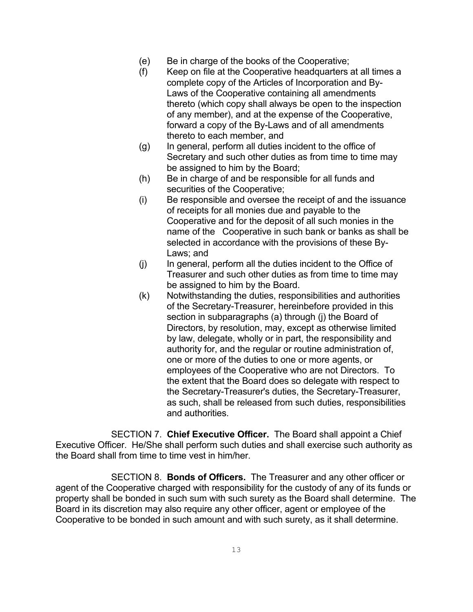- (e) Be in charge of the books of the Cooperative;
- (f) Keep on file at the Cooperative headquarters at all times a complete copy of the Articles of Incorporation and By-Laws of the Cooperative containing all amendments thereto (which copy shall always be open to the inspection of any member), and at the expense of the Cooperative, forward a copy of the By-Laws and of all amendments thereto to each member, and
- (g) In general, perform all duties incident to the office of Secretary and such other duties as from time to time may be assigned to him by the Board;
- (h) Be in charge of and be responsible for all funds and securities of the Cooperative;
- (i) Be responsible and oversee the receipt of and the issuance of receipts for all monies due and payable to the Cooperative and for the deposit of all such monies in the name of the Cooperative in such bank or banks as shall be selected in accordance with the provisions of these By-Laws; and
- (j) In general, perform all the duties incident to the Office of Treasurer and such other duties as from time to time may be assigned to him by the Board.
- (k) Notwithstanding the duties, responsibilities and authorities of the Secretary-Treasurer, hereinbefore provided in this section in subparagraphs (a) through (j) the Board of Directors, by resolution, may, except as otherwise limited by law, delegate, wholly or in part, the responsibility and authority for, and the regular or routine administration of, one or more of the duties to one or more agents, or employees of the Cooperative who are not Directors. To the extent that the Board does so delegate with respect to the Secretary-Treasurer's duties, the Secretary-Treasurer, as such, shall be released from such duties, responsibilities and authorities.

SECTION 7. **Chief Executive Officer.** The Board shall appoint a Chief Executive Officer. He/She shall perform such duties and shall exercise such authority as the Board shall from time to time vest in him/her.

SECTION 8. **Bonds of Officers.** The Treasurer and any other officer or agent of the Cooperative charged with responsibility for the custody of any of its funds or property shall be bonded in such sum with such surety as the Board shall determine. The Board in its discretion may also require any other officer, agent or employee of the Cooperative to be bonded in such amount and with such surety, as it shall determine.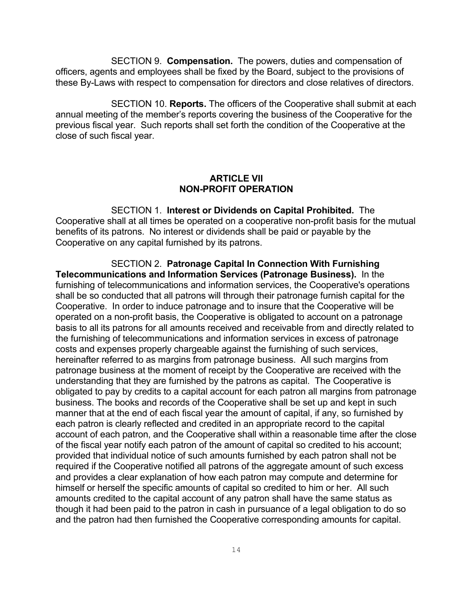SECTION 9. **Compensation.** The powers, duties and compensation of officers, agents and employees shall be fixed by the Board, subject to the provisions of these By-Laws with respect to compensation for directors and close relatives of directors.

SECTION 10. **Reports.** The officers of the Cooperative shall submit at each annual meeting of the member's reports covering the business of the Cooperative for the previous fiscal year. Such reports shall set forth the condition of the Cooperative at the close of such fiscal year.

## **ARTICLE VII NON-PROFIT OPERATION**

SECTION 1. **Interest or Dividends on Capital Prohibited.** The Cooperative shall at all times be operated on a cooperative non-profit basis for the mutual benefits of its patrons. No interest or dividends shall be paid or payable by the Cooperative on any capital furnished by its patrons.

SECTION 2. **Patronage Capital In Connection With Furnishing Telecommunications and Information Services (Patronage Business).** In the furnishing of telecommunications and information services, the Cooperative's operations shall be so conducted that all patrons will through their patronage furnish capital for the Cooperative. In order to induce patronage and to insure that the Cooperative will be operated on a non-profit basis, the Cooperative is obligated to account on a patronage basis to all its patrons for all amounts received and receivable from and directly related to the furnishing of telecommunications and information services in excess of patronage costs and expenses properly chargeable against the furnishing of such services, hereinafter referred to as margins from patronage business. All such margins from patronage business at the moment of receipt by the Cooperative are received with the understanding that they are furnished by the patrons as capital. The Cooperative is obligated to pay by credits to a capital account for each patron all margins from patronage business. The books and records of the Cooperative shall be set up and kept in such manner that at the end of each fiscal year the amount of capital, if any, so furnished by each patron is clearly reflected and credited in an appropriate record to the capital account of each patron, and the Cooperative shall within a reasonable time after the close of the fiscal year notify each patron of the amount of capital so credited to his account; provided that individual notice of such amounts furnished by each patron shall not be required if the Cooperative notified all patrons of the aggregate amount of such excess and provides a clear explanation of how each patron may compute and determine for himself or herself the specific amounts of capital so credited to him or her. All such amounts credited to the capital account of any patron shall have the same status as though it had been paid to the patron in cash in pursuance of a legal obligation to do so and the patron had then furnished the Cooperative corresponding amounts for capital.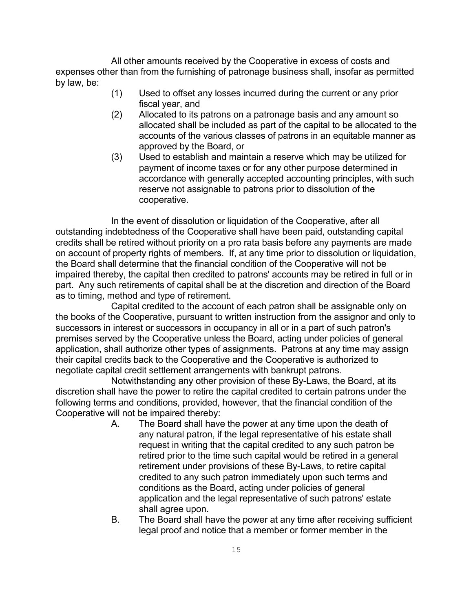All other amounts received by the Cooperative in excess of costs and expenses other than from the furnishing of patronage business shall, insofar as permitted by law, be:

- (1) Used to offset any losses incurred during the current or any prior fiscal year, and
- (2) Allocated to its patrons on a patronage basis and any amount so allocated shall be included as part of the capital to be allocated to the accounts of the various classes of patrons in an equitable manner as approved by the Board, or
- (3) Used to establish and maintain a reserve which may be utilized for payment of income taxes or for any other purpose determined in accordance with generally accepted accounting principles, with such reserve not assignable to patrons prior to dissolution of the cooperative.

In the event of dissolution or liquidation of the Cooperative, after all outstanding indebtedness of the Cooperative shall have been paid, outstanding capital credits shall be retired without priority on a pro rata basis before any payments are made on account of property rights of members. If, at any time prior to dissolution or liquidation, the Board shall determine that the financial condition of the Cooperative will not be impaired thereby, the capital then credited to patrons' accounts may be retired in full or in part. Any such retirements of capital shall be at the discretion and direction of the Board as to timing, method and type of retirement.

Capital credited to the account of each patron shall be assignable only on the books of the Cooperative, pursuant to written instruction from the assignor and only to successors in interest or successors in occupancy in all or in a part of such patron's premises served by the Cooperative unless the Board, acting under policies of general application, shall authorize other types of assignments. Patrons at any time may assign their capital credits back to the Cooperative and the Cooperative is authorized to negotiate capital credit settlement arrangements with bankrupt patrons.

Notwithstanding any other provision of these By-Laws, the Board, at its discretion shall have the power to retire the capital credited to certain patrons under the following terms and conditions, provided, however, that the financial condition of the Cooperative will not be impaired thereby:

- A. The Board shall have the power at any time upon the death of any natural patron, if the legal representative of his estate shall request in writing that the capital credited to any such patron be retired prior to the time such capital would be retired in a general retirement under provisions of these By-Laws, to retire capital credited to any such patron immediately upon such terms and conditions as the Board, acting under policies of general application and the legal representative of such patrons' estate shall agree upon.
- B. The Board shall have the power at any time after receiving sufficient legal proof and notice that a member or former member in the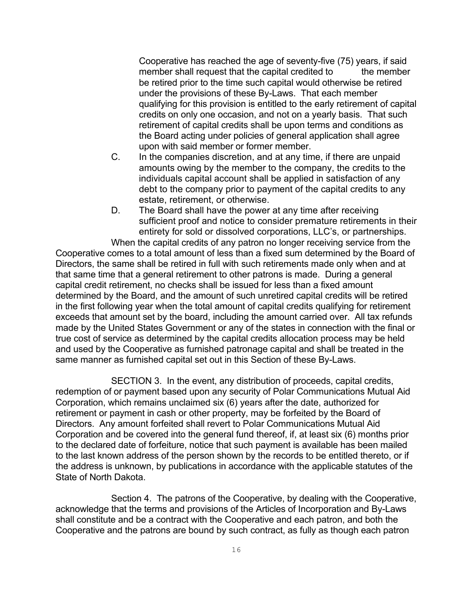Cooperative has reached the age of seventy-five (75) years, if said member shall request that the capital credited to the member be retired prior to the time such capital would otherwise be retired under the provisions of these By-Laws. That each member qualifying for this provision is entitled to the early retirement of capital credits on only one occasion, and not on a yearly basis. That such retirement of capital credits shall be upon terms and conditions as the Board acting under policies of general application shall agree upon with said member or former member.

- C. In the companies discretion, and at any time, if there are unpaid amounts owing by the member to the company, the credits to the individuals capital account shall be applied in satisfaction of any debt to the company prior to payment of the capital credits to any estate, retirement, or otherwise.
- D. The Board shall have the power at any time after receiving sufficient proof and notice to consider premature retirements in their entirety for sold or dissolved corporations, LLC's, or partnerships.

When the capital credits of any patron no longer receiving service from the Cooperative comes to a total amount of less than a fixed sum determined by the Board of Directors, the same shall be retired in full with such retirements made only when and at that same time that a general retirement to other patrons is made. During a general capital credit retirement, no checks shall be issued for less than a fixed amount determined by the Board, and the amount of such unretired capital credits will be retired in the first following year when the total amount of capital credits qualifying for retirement exceeds that amount set by the board, including the amount carried over. All tax refunds made by the United States Government or any of the states in connection with the final or true cost of service as determined by the capital credits allocation process may be held and used by the Cooperative as furnished patronage capital and shall be treated in the same manner as furnished capital set out in this Section of these By-Laws.

SECTION 3. In the event, any distribution of proceeds, capital credits, redemption of or payment based upon any security of Polar Communications Mutual Aid Corporation, which remains unclaimed six (6) years after the date, authorized for retirement or payment in cash or other property, may be forfeited by the Board of Directors. Any amount forfeited shall revert to Polar Communications Mutual Aid Corporation and be covered into the general fund thereof, if, at least six (6) months prior to the declared date of forfeiture, notice that such payment is available has been mailed to the last known address of the person shown by the records to be entitled thereto, or if the address is unknown, by publications in accordance with the applicable statutes of the State of North Dakota.

Section 4. The patrons of the Cooperative, by dealing with the Cooperative, acknowledge that the terms and provisions of the Articles of Incorporation and By-Laws shall constitute and be a contract with the Cooperative and each patron, and both the Cooperative and the patrons are bound by such contract, as fully as though each patron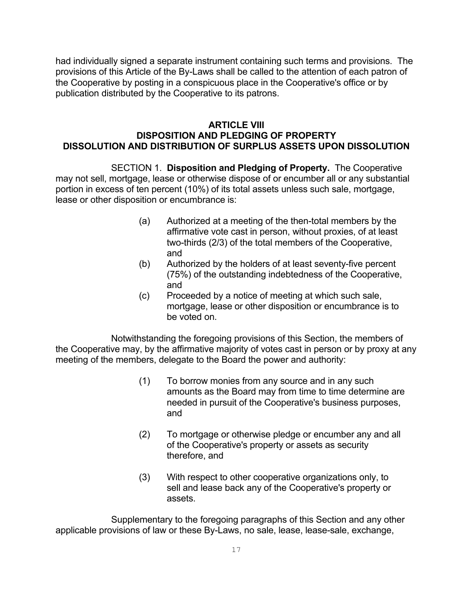had individually signed a separate instrument containing such terms and provisions. The provisions of this Article of the By-Laws shall be called to the attention of each patron of the Cooperative by posting in a conspicuous place in the Cooperative's office or by publication distributed by the Cooperative to its patrons.

## **ARTICLE VIII DISPOSITION AND PLEDGING OF PROPERTY DISSOLUTION AND DISTRIBUTION OF SURPLUS ASSETS UPON DISSOLUTION**

SECTION 1. **Disposition and Pledging of Property.** The Cooperative may not sell, mortgage, lease or otherwise dispose of or encumber all or any substantial portion in excess of ten percent (10%) of its total assets unless such sale, mortgage, lease or other disposition or encumbrance is:

- (a) Authorized at a meeting of the then-total members by the affirmative vote cast in person, without proxies, of at least two-thirds (2/3) of the total members of the Cooperative, and
- (b) Authorized by the holders of at least seventy-five percent (75%) of the outstanding indebtedness of the Cooperative, and
- (c) Proceeded by a notice of meeting at which such sale, mortgage, lease or other disposition or encumbrance is to be voted on.

Notwithstanding the foregoing provisions of this Section, the members of the Cooperative may, by the affirmative majority of votes cast in person or by proxy at any meeting of the members, delegate to the Board the power and authority:

- (1) To borrow monies from any source and in any such amounts as the Board may from time to time determine are needed in pursuit of the Cooperative's business purposes, and
- (2) To mortgage or otherwise pledge or encumber any and all of the Cooperative's property or assets as security therefore, and
- (3) With respect to other cooperative organizations only, to sell and lease back any of the Cooperative's property or assets.

Supplementary to the foregoing paragraphs of this Section and any other applicable provisions of law or these By-Laws, no sale, lease, lease-sale, exchange,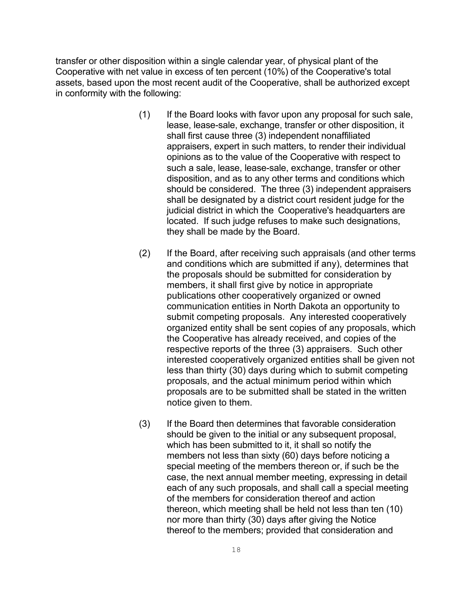transfer or other disposition within a single calendar year, of physical plant of the Cooperative with net value in excess of ten percent (10%) of the Cooperative's total assets, based upon the most recent audit of the Cooperative, shall be authorized except in conformity with the following:

- (1) If the Board looks with favor upon any proposal for such sale, lease, lease-sale, exchange, transfer or other disposition, it shall first cause three (3) independent nonaffiliated appraisers, expert in such matters, to render their individual opinions as to the value of the Cooperative with respect to such a sale, lease, lease-sale, exchange, transfer or other disposition, and as to any other terms and conditions which should be considered. The three (3) independent appraisers shall be designated by a district court resident judge for the judicial district in which the Cooperative's headquarters are located. If such judge refuses to make such designations, they shall be made by the Board.
- (2) If the Board, after receiving such appraisals (and other terms and conditions which are submitted if any), determines that the proposals should be submitted for consideration by members, it shall first give by notice in appropriate publications other cooperatively organized or owned communication entities in North Dakota an opportunity to submit competing proposals. Any interested cooperatively organized entity shall be sent copies of any proposals, which the Cooperative has already received, and copies of the respective reports of the three (3) appraisers. Such other interested cooperatively organized entities shall be given not less than thirty (30) days during which to submit competing proposals, and the actual minimum period within which proposals are to be submitted shall be stated in the written notice given to them.
- (3) If the Board then determines that favorable consideration should be given to the initial or any subsequent proposal. which has been submitted to it, it shall so notify the members not less than sixty (60) days before noticing a special meeting of the members thereon or, if such be the case, the next annual member meeting, expressing in detail each of any such proposals, and shall call a special meeting of the members for consideration thereof and action thereon, which meeting shall be held not less than ten (10) nor more than thirty (30) days after giving the Notice thereof to the members; provided that consideration and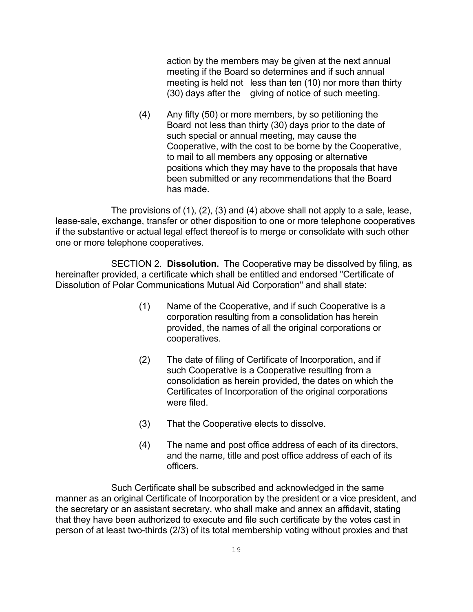action by the members may be given at the next annual meeting if the Board so determines and if such annual meeting is held not less than ten (10) nor more than thirty (30) days after the giving of notice of such meeting.

(4) Any fifty (50) or more members, by so petitioning the Board not less than thirty (30) days prior to the date of such special or annual meeting, may cause the Cooperative, with the cost to be borne by the Cooperative, to mail to all members any opposing or alternative positions which they may have to the proposals that have been submitted or any recommendations that the Board has made.

The provisions of (1), (2), (3) and (4) above shall not apply to a sale, lease, lease-sale, exchange, transfer or other disposition to one or more telephone cooperatives if the substantive or actual legal effect thereof is to merge or consolidate with such other one or more telephone cooperatives.

SECTION 2. **Dissolution.** The Cooperative may be dissolved by filing, as hereinafter provided, a certificate which shall be entitled and endorsed "Certificate of Dissolution of Polar Communications Mutual Aid Corporation" and shall state:

- (1) Name of the Cooperative, and if such Cooperative is a corporation resulting from a consolidation has herein provided, the names of all the original corporations or cooperatives.
- (2) The date of filing of Certificate of Incorporation, and if such Cooperative is a Cooperative resulting from a consolidation as herein provided, the dates on which the Certificates of Incorporation of the original corporations were filed.
- (3) That the Cooperative elects to dissolve.
- (4) The name and post office address of each of its directors, and the name, title and post office address of each of its officers.

Such Certificate shall be subscribed and acknowledged in the same manner as an original Certificate of Incorporation by the president or a vice president, and the secretary or an assistant secretary, who shall make and annex an affidavit, stating that they have been authorized to execute and file such certificate by the votes cast in person of at least two-thirds (2/3) of its total membership voting without proxies and that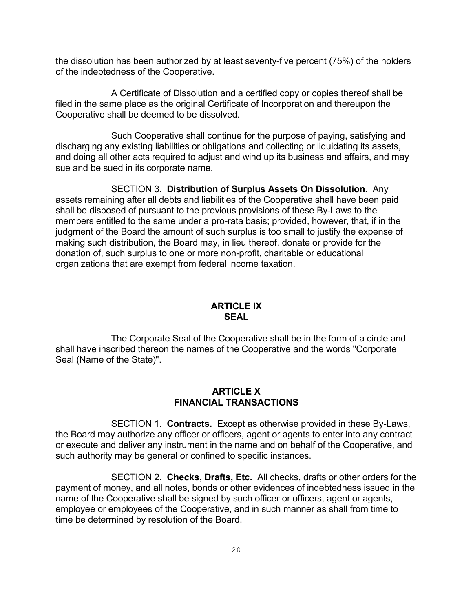the dissolution has been authorized by at least seventy-five percent (75%) of the holders of the indebtedness of the Cooperative.

A Certificate of Dissolution and a certified copy or copies thereof shall be filed in the same place as the original Certificate of Incorporation and thereupon the Cooperative shall be deemed to be dissolved.

Such Cooperative shall continue for the purpose of paying, satisfying and discharging any existing liabilities or obligations and collecting or liquidating its assets, and doing all other acts required to adjust and wind up its business and affairs, and may sue and be sued in its corporate name.

SECTION 3. **Distribution of Surplus Assets On Dissolution.** Any assets remaining after all debts and liabilities of the Cooperative shall have been paid shall be disposed of pursuant to the previous provisions of these By-Laws to the members entitled to the same under a pro-rata basis; provided, however, that, if in the judgment of the Board the amount of such surplus is too small to justify the expense of making such distribution, the Board may, in lieu thereof, donate or provide for the donation of, such surplus to one or more non-profit, charitable or educational organizations that are exempt from federal income taxation.

## **ARTICLE IX SEAL**

The Corporate Seal of the Cooperative shall be in the form of a circle and shall have inscribed thereon the names of the Cooperative and the words "Corporate Seal (Name of the State)".

## **ARTICLE X FINANCIAL TRANSACTIONS**

SECTION 1. **Contracts.** Except as otherwise provided in these By-Laws, the Board may authorize any officer or officers, agent or agents to enter into any contract or execute and deliver any instrument in the name and on behalf of the Cooperative, and such authority may be general or confined to specific instances.

SECTION 2. **Checks, Drafts, Etc.** All checks, drafts or other orders for the payment of money, and all notes, bonds or other evidences of indebtedness issued in the name of the Cooperative shall be signed by such officer or officers, agent or agents, employee or employees of the Cooperative, and in such manner as shall from time to time be determined by resolution of the Board.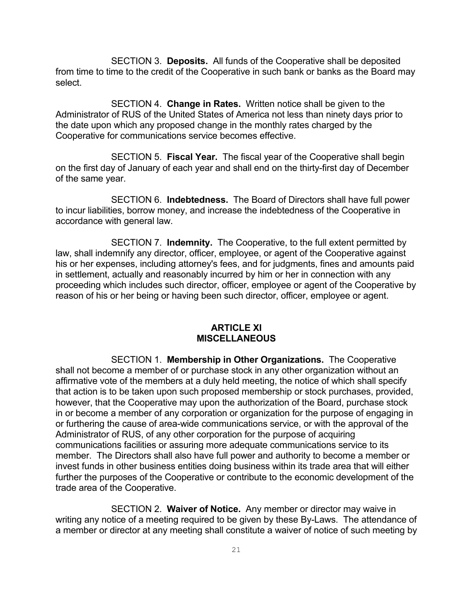SECTION 3. **Deposits.** All funds of the Cooperative shall be deposited from time to time to the credit of the Cooperative in such bank or banks as the Board may select.

SECTION 4. **Change in Rates.** Written notice shall be given to the Administrator of RUS of the United States of America not less than ninety days prior to the date upon which any proposed change in the monthly rates charged by the Cooperative for communications service becomes effective.

SECTION 5. **Fiscal Year.** The fiscal year of the Cooperative shall begin on the first day of January of each year and shall end on the thirty-first day of December of the same year.

SECTION 6. **Indebtedness.** The Board of Directors shall have full power to incur liabilities, borrow money, and increase the indebtedness of the Cooperative in accordance with general law.

SECTION 7. **Indemnity.** The Cooperative, to the full extent permitted by law, shall indemnify any director, officer, employee, or agent of the Cooperative against his or her expenses, including attorney's fees, and for judgments, fines and amounts paid in settlement, actually and reasonably incurred by him or her in connection with any proceeding which includes such director, officer, employee or agent of the Cooperative by reason of his or her being or having been such director, officer, employee or agent.

#### **ARTICLE XI MISCELLANEOUS**

SECTION 1. **Membership in Other Organizations.** The Cooperative shall not become a member of or purchase stock in any other organization without an affirmative vote of the members at a duly held meeting, the notice of which shall specify that action is to be taken upon such proposed membership or stock purchases, provided, however, that the Cooperative may upon the authorization of the Board, purchase stock in or become a member of any corporation or organization for the purpose of engaging in or furthering the cause of area-wide communications service, or with the approval of the Administrator of RUS, of any other corporation for the purpose of acquiring communications facilities or assuring more adequate communications service to its member. The Directors shall also have full power and authority to become a member or invest funds in other business entities doing business within its trade area that will either further the purposes of the Cooperative or contribute to the economic development of the trade area of the Cooperative.

SECTION 2. **Waiver of Notice.** Any member or director may waive in writing any notice of a meeting required to be given by these By-Laws. The attendance of a member or director at any meeting shall constitute a waiver of notice of such meeting by